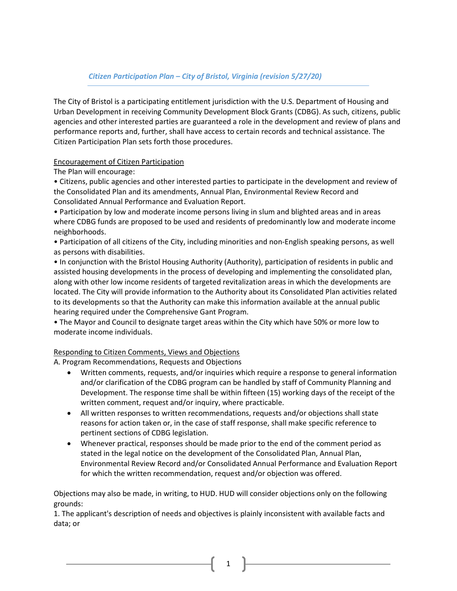# Citizen Participation Plan – City of Bristol, Virginia (revision 5/27/20)

The City of Bristol is a participating entitlement jurisdiction with the U.S. Department of Housing and Urban Development in receiving Community Development Block Grants (CDBG). As such, citizens, public agencies and other interested parties are guaranteed a role in the development and review of plans and performance reports and, further, shall have access to certain records and technical assistance. The Citizen Participation Plan sets forth those procedures.

# Encouragement of Citizen Participation

The Plan will encourage:

• Citizens, public agencies and other interested parties to participate in the development and review of the Consolidated Plan and its amendments, Annual Plan, Environmental Review Record and Consolidated Annual Performance and Evaluation Report.

• Participation by low and moderate income persons living in slum and blighted areas and in areas where CDBG funds are proposed to be used and residents of predominantly low and moderate income neighborhoods.

• Participation of all citizens of the City, including minorities and non-English speaking persons, as well as persons with disabilities.

• In conjunction with the Bristol Housing Authority (Authority), participation of residents in public and assisted housing developments in the process of developing and implementing the consolidated plan, along with other low income residents of targeted revitalization areas in which the developments are located. The City will provide information to the Authority about its Consolidated Plan activities related to its developments so that the Authority can make this information available at the annual public hearing required under the Comprehensive Gant Program.

• The Mayor and Council to designate target areas within the City which have 50% or more low to moderate income individuals.

### Responding to Citizen Comments, Views and Objections

A. Program Recommendations, Requests and Objections

- Written comments, requests, and/or inquiries which require a response to general information and/or clarification of the CDBG program can be handled by staff of Community Planning and Development. The response time shall be within fifteen (15) working days of the receipt of the written comment, request and/or inquiry, where practicable.
- All written responses to written recommendations, requests and/or objections shall state reasons for action taken or, in the case of staff response, shall make specific reference to pertinent sections of CDBG legislation.
- Whenever practical, responses should be made prior to the end of the comment period as stated in the legal notice on the development of the Consolidated Plan, Annual Plan, Environmental Review Record and/or Consolidated Annual Performance and Evaluation Report for which the written recommendation, request and/or objection was offered.

Objections may also be made, in writing, to HUD. HUD will consider objections only on the following grounds:

1. The applicant's description of needs and objectives is plainly inconsistent with available facts and data; or

1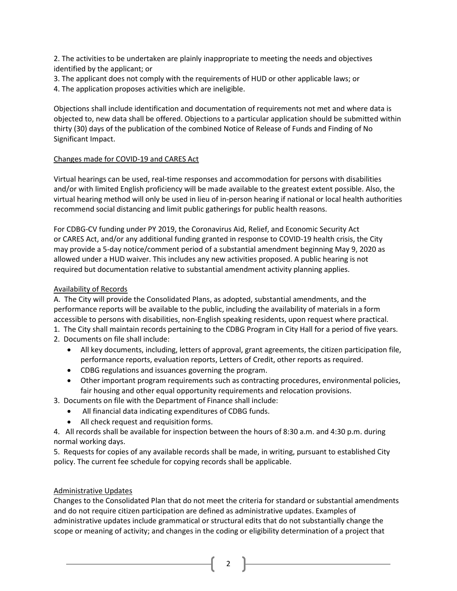2. The activities to be undertaken are plainly inappropriate to meeting the needs and objectives identified by the applicant; or

- 3. The applicant does not comply with the requirements of HUD or other applicable laws; or
- 4. The application proposes activities which are ineligible.

Objections shall include identification and documentation of requirements not met and where data is objected to, new data shall be offered. Objections to a particular application should be submitted within thirty (30) days of the publication of the combined Notice of Release of Funds and Finding of No Significant Impact.

# Changes made for COVID-19 and CARES Act

Virtual hearings can be used, real-time responses and accommodation for persons with disabilities and/or with limited English proficiency will be made available to the greatest extent possible. Also, the virtual hearing method will only be used in lieu of in-person hearing if national or local health authorities recommend social distancing and limit public gatherings for public health reasons.

For CDBG-CV funding under PY 2019, the Coronavirus Aid, Relief, and Economic Security Act or CARES Act, and/or any additional funding granted in response to COVID-19 health crisis, the City may provide a 5-day notice/comment period of a substantial amendment beginning May 9, 2020 as allowed under a HUD waiver. This includes any new activities proposed. A public hearing is not required but documentation relative to substantial amendment activity planning applies.

# Availability of Records

A. The City will provide the Consolidated Plans, as adopted, substantial amendments, and the performance reports will be available to the public, including the availability of materials in a form accessible to persons with disabilities, non-English speaking residents, upon request where practical.

- 1. The City shall maintain records pertaining to the CDBG Program in City Hall for a period of five years.
- 2. Documents on file shall include:
	- All key documents, including, letters of approval, grant agreements, the citizen participation file, performance reports, evaluation reports, Letters of Credit, other reports as required.
	- CDBG regulations and issuances governing the program.
	- Other important program requirements such as contracting procedures, environmental policies, fair housing and other equal opportunity requirements and relocation provisions.
- 3. Documents on file with the Department of Finance shall include:
	- All financial data indicating expenditures of CDBG funds.
	- All check request and requisition forms.

4. All records shall be available for inspection between the hours of 8:30 a.m. and 4:30 p.m. during normal working days.

5. Requests for copies of any available records shall be made, in writing, pursuant to established City policy. The current fee schedule for copying records shall be applicable.

### Administrative Updates

Changes to the Consolidated Plan that do not meet the criteria for standard or substantial amendments and do not require citizen participation are defined as administrative updates. Examples of administrative updates include grammatical or structural edits that do not substantially change the scope or meaning of activity; and changes in the coding or eligibility determination of a project that

2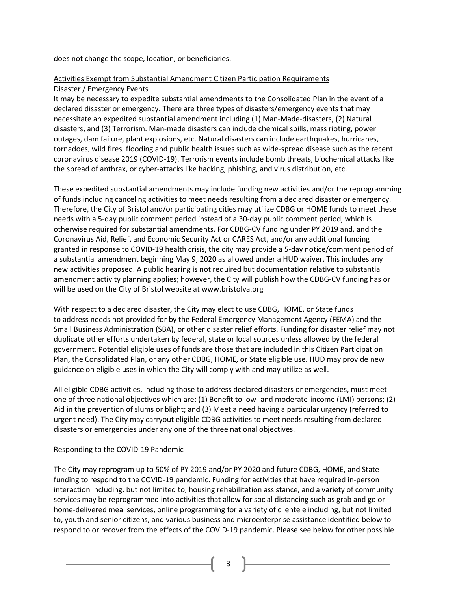does not change the scope, location, or beneficiaries.

# Activities Exempt from Substantial Amendment Citizen Participation Requirements Disaster / Emergency Events

It may be necessary to expedite substantial amendments to the Consolidated Plan in the event of a declared disaster or emergency. There are three types of disasters/emergency events that may necessitate an expedited substantial amendment including (1) Man-Made-disasters, (2) Natural disasters, and (3) Terrorism. Man-made disasters can include chemical spills, mass rioting, power outages, dam failure, plant explosions, etc. Natural disasters can include earthquakes, hurricanes, tornadoes, wild fires, flooding and public health issues such as wide-spread disease such as the recent coronavirus disease 2019 (COVID-19). Terrorism events include bomb threats, biochemical attacks like the spread of anthrax, or cyber-attacks like hacking, phishing, and virus distribution, etc.

These expedited substantial amendments may include funding new activities and/or the reprogramming of funds including canceling activities to meet needs resulting from a declared disaster or emergency. Therefore, the City of Bristol and/or participating cities may utilize CDBG or HOME funds to meet these needs with a 5-day public comment period instead of a 30-day public comment period, which is otherwise required for substantial amendments. For CDBG-CV funding under PY 2019 and, and the Coronavirus Aid, Relief, and Economic Security Act or CARES Act, and/or any additional funding granted in response to COVID-19 health crisis, the city may provide a 5-day notice/comment period of a substantial amendment beginning May 9, 2020 as allowed under a HUD waiver. This includes any new activities proposed. A public hearing is not required but documentation relative to substantial amendment activity planning applies; however, the City will publish how the CDBG-CV funding has or will be used on the City of Bristol website at www.bristolva.org

With respect to a declared disaster, the City may elect to use CDBG, HOME, or State funds to address needs not provided for by the Federal Emergency Management Agency (FEMA) and the Small Business Administration (SBA), or other disaster relief efforts. Funding for disaster relief may not duplicate other efforts undertaken by federal, state or local sources unless allowed by the federal government. Potential eligible uses of funds are those that are included in this Citizen Participation Plan, the Consolidated Plan, or any other CDBG, HOME, or State eligible use. HUD may provide new guidance on eligible uses in which the City will comply with and may utilize as well.

All eligible CDBG activities, including those to address declared disasters or emergencies, must meet one of three national objectives which are: (1) Benefit to low- and moderate-income (LMI) persons; (2) Aid in the prevention of slums or blight; and (3) Meet a need having a particular urgency (referred to urgent need). The City may carryout eligible CDBG activities to meet needs resulting from declared disasters or emergencies under any one of the three national objectives.

### Responding to the COVID-19 Pandemic

The City may reprogram up to 50% of PY 2019 and/or PY 2020 and future CDBG, HOME, and State funding to respond to the COVID-19 pandemic. Funding for activities that have required in-person interaction including, but not limited to, housing rehabilitation assistance, and a variety of community services may be reprogrammed into activities that allow for social distancing such as grab and go or home-delivered meal services, online programming for a variety of clientele including, but not limited to, youth and senior citizens, and various business and microenterprise assistance identified below to respond to or recover from the effects of the COVID-19 pandemic. Please see below for other possible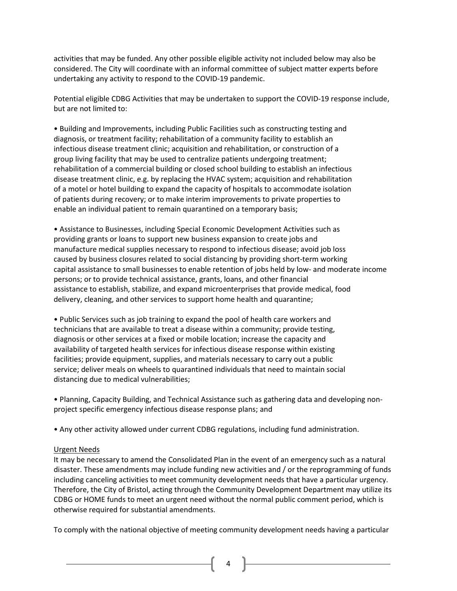activities that may be funded. Any other possible eligible activity not included below may also be considered. The City will coordinate with an informal committee of subject matter experts before undertaking any activity to respond to the COVID-19 pandemic.

Potential eligible CDBG Activities that may be undertaken to support the COVID-19 response include, but are not limited to:

• Building and Improvements, including Public Facilities such as constructing testing and diagnosis, or treatment facility; rehabilitation of a community facility to establish an infectious disease treatment clinic; acquisition and rehabilitation, or construction of a group living facility that may be used to centralize patients undergoing treatment; rehabilitation of a commercial building or closed school building to establish an infectious disease treatment clinic, e.g. by replacing the HVAC system; acquisition and rehabilitation of a motel or hotel building to expand the capacity of hospitals to accommodate isolation of patients during recovery; or to make interim improvements to private properties to enable an individual patient to remain quarantined on a temporary basis;

• Assistance to Businesses, including Special Economic Development Activities such as providing grants or loans to support new business expansion to create jobs and manufacture medical supplies necessary to respond to infectious disease; avoid job loss caused by business closures related to social distancing by providing short-term working capital assistance to small businesses to enable retention of jobs held by low- and moderate income persons; or to provide technical assistance, grants, loans, and other financial assistance to establish, stabilize, and expand microenterprises that provide medical, food delivery, cleaning, and other services to support home health and quarantine;

• Public Services such as job training to expand the pool of health care workers and technicians that are available to treat a disease within a community; provide testing, diagnosis or other services at a fixed or mobile location; increase the capacity and availability of targeted health services for infectious disease response within existing facilities; provide equipment, supplies, and materials necessary to carry out a public service; deliver meals on wheels to quarantined individuals that need to maintain social distancing due to medical vulnerabilities;

• Planning, Capacity Building, and Technical Assistance such as gathering data and developing nonproject specific emergency infectious disease response plans; and

• Any other activity allowed under current CDBG regulations, including fund administration.

#### Urgent Needs

It may be necessary to amend the Consolidated Plan in the event of an emergency such as a natural disaster. These amendments may include funding new activities and / or the reprogramming of funds including canceling activities to meet community development needs that have a particular urgency. Therefore, the City of Bristol, acting through the Community Development Department may utilize its CDBG or HOME funds to meet an urgent need without the normal public comment period, which is otherwise required for substantial amendments.

To comply with the national objective of meeting community development needs having a particular